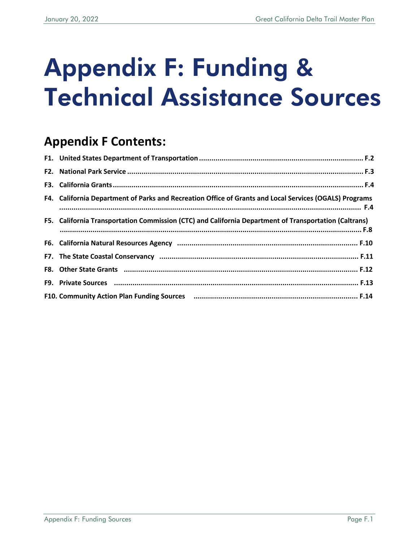# Appendix F: Funding & Technical Assistance Sources

# **Appendix F Contents:**

| F4. California Department of Parks and Recreation Office of Grants and Local Services (OGALS) Programs |
|--------------------------------------------------------------------------------------------------------|
| F5. California Transportation Commission (CTC) and California Department of Transportation (Caltrans)  |
|                                                                                                        |
|                                                                                                        |
|                                                                                                        |
|                                                                                                        |
|                                                                                                        |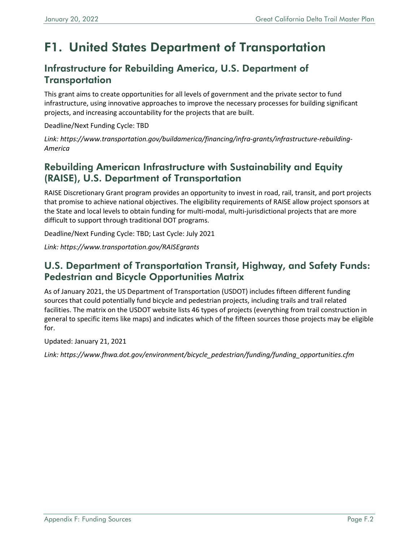# <span id="page-1-0"></span>F1. United States Department of Transportation

#### Infrastructure for Rebuilding America, U.S. Department of **Transportation**

This grant aims to create opportunities for all levels of government and the private sector to fund infrastructure, using innovative approaches to improve the necessary processes for building significant projects, and increasing accountability for the projects that are built.

Deadline/Next Funding Cycle: TBD

*[Link: https://www.transportation.gov/buildamerica/financing/infra-grants/infrastructure-rebuilding-](https://www.transportation.gov/buildamerica/financing/infra-grants/infrastructure-rebuilding-America)America*

#### Rebuilding American Infrastructure with Sustainability and Equity (RAISE), U.S. Department of Transportation

RAISE Discretionary Grant program provides an opportunity to invest in road, rail, transit, and port projects that promise to achieve national objectives. The eligibility requirements of RAISE allow project sponsors at the State and local levels to obtain funding for multi-modal, multi-jurisdictional projects that are more difficult to support through traditional DOT programs.

Deadline/Next Funding Cycle: TBD; Last Cycle: July 2021

*Link:<https://www.transportation.gov/RAISEgrants>*

#### U.S. Department of Transportation Transit, Highway, and Safety Funds: Pedestrian and Bicycle Opportunities Matrix

As of January 2021, the US Department of Transportation (USDOT) includes fifteen different funding sources that could potentially fund bicycle and pedestrian projects, including trails and trail related facilities. The matrix on the USDOT website lists 46 types of projects (everything from trail construction in general to specific items like maps) and indicates which of the fifteen sources those projects may be eligible for.

Updated: January 21, 2021

*Link: [https://www.fhwa.dot.gov/environment/bicycle\\_pedestrian/funding/funding\\_opportunities.cfm](https://www.fhwa.dot.gov/environment/bicycle_pedestrian/funding/funding_opportunities.cfm)*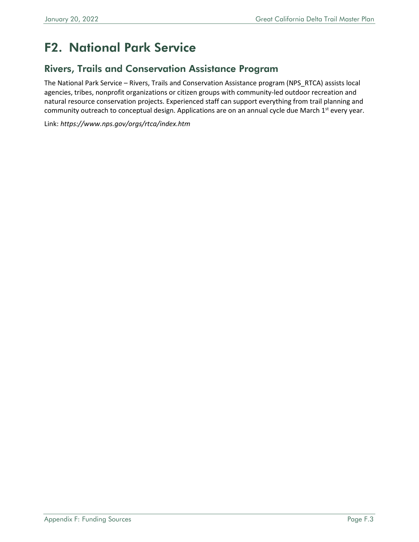# <span id="page-2-0"></span>F2. National Park Service

#### Rivers, Trails and Conservation Assistance Program

The National Park Service – Rivers, Trails and Conservation Assistance program (NPS\_RTCA) assists local agencies, tribes, nonprofit organizations or citizen groups with community-led outdoor recreation and natural resource conservation projects. Experienced staff can support everything from trail planning and community outreach to conceptual design. Applications are on an annual cycle due March  $1<sup>st</sup>$  every year.

Link: *<https://www.nps.gov/orgs/rtca/index.htm>*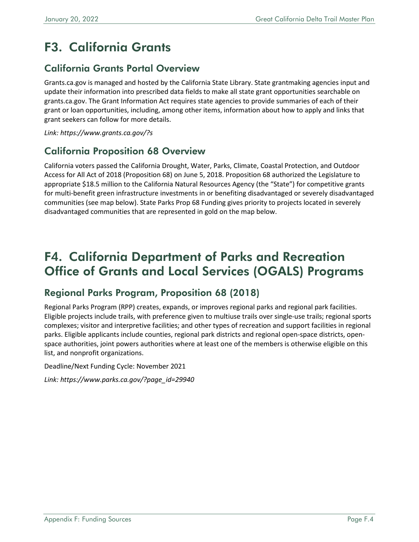# <span id="page-3-0"></span>F3. California Grants

### California Grants Portal Overview

Grants.ca.gov is managed and hosted by the California State Library. State grantmaking agencies input and update their information into prescribed data fields to make all state grant opportunities searchable on grants.ca.gov. The Grant Information Act requires state agencies to provide summaries of each of their grant or loan opportunities, including, among other items, information about how to apply and links that grant seekers can follow for more details.

*Link:<https://www.grants.ca.gov/?s>*

#### California Proposition 68 Overview

California voters passed the California Drought, Water, Parks, Climate, Coastal Protection, and Outdoor Access for All Act of 2018 (Proposition 68) on June 5, 2018. Proposition 68 authorized the Legislature to appropriate \$18.5 million to the California Natural Resources Agency (the "State") for competitive grants for multi-benefit green infrastructure investments in or benefiting disadvantaged or severely disadvantaged communities (see map below). State Parks Prop 68 Funding gives priority to projects located in severely disadvantaged communities that are represented in gold on the map below.

## <span id="page-3-1"></span>F4. California Department of Parks and Recreation Office of Grants and Local Services (OGALS) Programs

### Regional Parks Program, Proposition 68 (2018)

Regional Parks Program (RPP) creates, expands, or improves regional parks and regional park facilities. Eligible projects include trails, with preference given to multiuse trails over single-use trails; regional sports complexes; visitor and interpretive facilities; and other types of recreation and support facilities in regional parks. Eligible applicants include counties, regional park districts and regional open-space districts, openspace authorities, joint powers authorities where at least one of the members is otherwise eligible on this list, and nonprofit organizations.

Deadline/Next Funding Cycle: November 2021

*Link: [https://www.parks.ca.gov/?page\\_id=29940](https://www.parks.ca.gov/?page_id=29940)*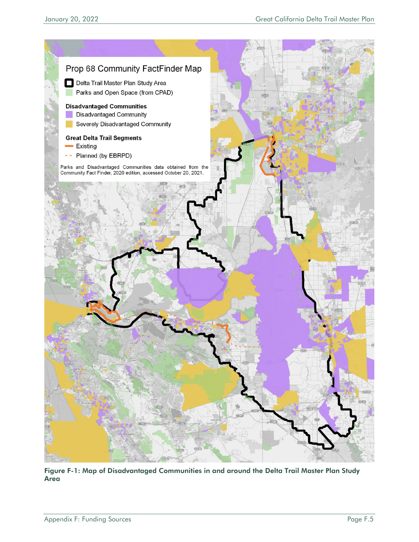

Figure F-1: Map of Disadvantaged Communities in and around the Delta Trail Master Plan Study Area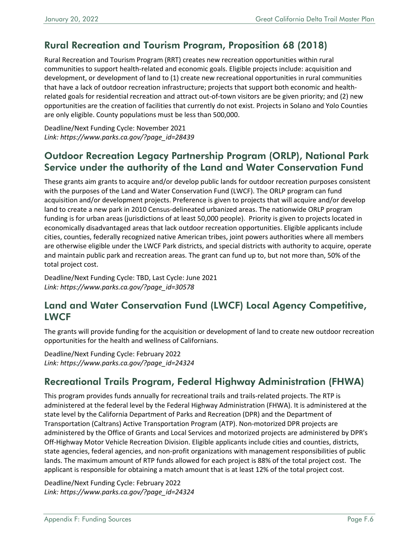### Rural Recreation and Tourism Program, Proposition 68 (2018)

Rural Recreation and Tourism Program (RRT) creates new recreation opportunities within rural communities to support health-related and economic goals. Eligible projects include: acquisition and development, or development of land to (1) create new recreational opportunities in rural communities that have a lack of outdoor recreation infrastructure; projects that support both economic and healthrelated goals for residential recreation and attract out-of-town visitors are be given priority; and (2) new opportunities are the creation of facilities that currently do not exist. Projects in Solano and Yolo Counties are only eligible. County populations must be less than 500,000.

Deadline/Next Funding Cycle: November 2021 *Link: [https://www.parks.ca.gov/?page\\_id=28439](https://www.parks.ca.gov/?page_id=28439)*

### Outdoor Recreation Legacy Partnership Program (ORLP), National Park Service under the authority of the Land and Water Conservation Fund

These grants aim grants to acquire and/or develop public lands for outdoor recreation purposes consistent with the purposes of the Land and Water Conservation Fund (LWCF). The ORLP program can fund acquisition and/or development projects. Preference is given to projects that will acquire and/or develop land to create a new park in 2010 Census-delineated urbanized areas. The nationwide ORLP program funding is for urban areas (jurisdictions of at least 50,000 people). Priority is given to projects located in economically disadvantaged areas that lack outdoor recreation opportunities. Eligible applicants include cities, counties, federally recognized native American tribes, joint powers authorities where all members are otherwise eligible under the LWCF Park districts, and special districts with authority to acquire, operate and maintain public park and recreation areas. The grant can fund up to, but not more than, 50% of the total project cost.

Deadline/Next Funding Cycle: TBD, Last Cycle: June 2021 *Link: [https://www.parks.ca.gov/?page\\_id=30578](https://www.parks.ca.gov/?page_id=30578)* 

#### Land and Water Conservation Fund (LWCF) Local Agency Competitive, LWCF

The grants will provide funding for the acquisition or development of land to create new outdoor recreation opportunities for the health and wellness of Californians.

Deadline/Next Funding Cycle: February 2022 *Link: [https://www.parks.ca.gov/?page\\_id=24324](https://www.parks.ca.gov/?page_id=24324)*

### Recreational Trails Program, Federal Highway Administration (FHWA)

This program provides funds annually for recreational trails and trails-related projects. The RTP is administered at the federal level by the Federal Highway Administration (FHWA). It is administered at the state level by the California Department of Parks and Recreation (DPR) and the Department of Transportation (Caltrans) Active Transportation Program (ATP). Non-motorized DPR projects are administered by the Office of Grants and Local Services and motorized projects are administered by DPR's Off-Highway Motor Vehicle Recreation Division. Eligible applicants include cities and counties, districts, state agencies, federal agencies, and non-profit organizations with management responsibilities of public lands. The maximum amount of RTP funds allowed for each project is 88% of the total project cost. The applicant is responsible for obtaining a match amount that is at least 12% of the total project cost.

Deadline/Next Funding Cycle: February 2022 *Link: [https://www.parks.ca.gov/?page\\_id=24324](https://www.parks.ca.gov/?page_id=24324)*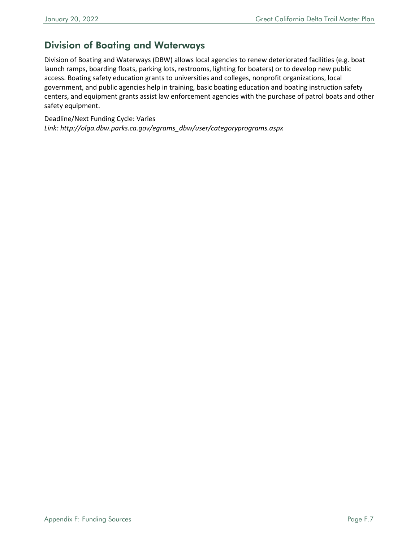### Division of Boating and Waterways

Division of Boating and Waterways (DBW) allows local agencies to renew deteriorated facilities (e.g. boat launch ramps, boarding floats, parking lots, restrooms, lighting for boaters) or to develop new public access. Boating safety education grants to universities and colleges, nonprofit organizations, local government, and public agencies help in training, basic boating education and boating instruction safety centers, and equipment grants assist law enforcement agencies with the purchase of patrol boats and other safety equipment.

Deadline/Next Funding Cycle: Varies *Link: [http://olga.dbw.parks.ca.gov/egrams\\_dbw/user/categoryprograms.aspx](http://olga.dbw.parks.ca.gov/egrams_dbw/user/categoryprograms.aspx)*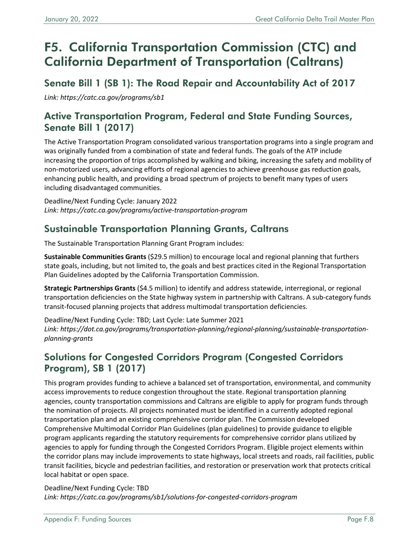# <span id="page-7-0"></span>F5. California Transportation Commission (CTC) and California Department of Transportation (Caltrans)

### Senate Bill 1 (SB 1): The Road Repair and Accountability Act of 2017

*Link: <https://catc.ca.gov/programs/sb1>*

### Active Transportation Program, Federal and State Funding Sources, Senate Bill 1 (2017)

The Active Transportation Program consolidated various transportation programs into a single program and was originally funded from a combination of state and federal funds. The goals of the ATP include increasing the proportion of trips accomplished by walking and biking, increasing the safety and mobility of non-motorized users, advancing efforts of regional agencies to achieve greenhouse gas reduction goals, enhancing public health, and providing a broad spectrum of projects to benefit many types of users including disadvantaged communities.

Deadline/Next Funding Cycle: January 2022 *Link:<https://catc.ca.gov/programs/active-transportation-program>*

### Sustainable Transportation Planning Grants, Caltrans

The Sustainable Transportation Planning Grant Program includes:

**Sustainable Communities Grants** (\$29.5 million) to encourage local and regional planning that furthers state goals, including, but not limited to, the goals and best practices cited in the Regional Transportation Plan Guidelines adopted by the California Transportation Commission.

**Strategic Partnerships Grants** (\$4.5 million) to identify and address statewide, interregional, or regional transportation deficiencies on the State highway system in partnership with Caltrans. A sub-category funds transit-focused planning projects that address multimodal transportation deficiencies.

Deadline/Next Funding Cycle: TBD; Last Cycle: Late Summer 2021 *[Link: https://dot.ca.gov/programs/transportation-planning/regional-planning/sustainable-transportation](https://dot.ca.gov/programs/transportation-planning/regional-planning/sustainable-transportation-planning-grants)planning-grants* 

### Solutions for Congested Corridors Program (Congested Corridors Program), SB 1 (2017)

This program provides funding to achieve a balanced set of transportation, environmental, and community access improvements to reduce congestion throughout the state. Regional transportation planning agencies, county transportation commissions and Caltrans are eligible to apply for program funds through the nomination of projects. All projects nominated must be identified in a currently adopted regional transportation plan and an existing comprehensive corridor plan. The Commission developed Comprehensive Multimodal Corridor Plan Guidelines (plan guidelines) to provide guidance to eligible program applicants regarding the statutory requirements for comprehensive corridor plans utilized by agencies to apply for funding through the Congested Corridors Program. Eligible project elements within the corridor plans may include improvements to state highways, local streets and roads, rail facilities, public transit facilities, bicycle and pedestrian facilities, and restoration or preservation work that protects critical local habitat or open space.

Deadline/Next Funding Cycle: TBD *Link: <https://catc.ca.gov/programs/sb1/solutions-for-congested-corridors-program>*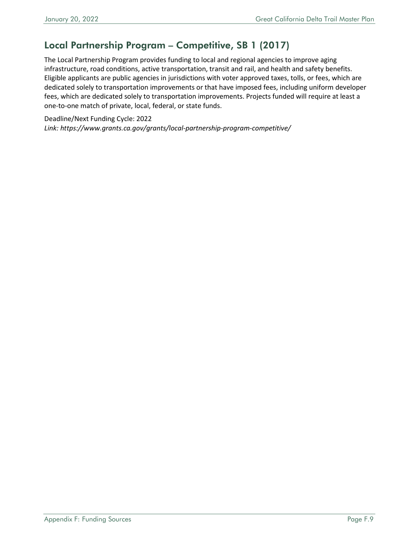### Local Partnership Program – Competitive, SB 1 (2017)

The Local Partnership Program provides funding to local and regional agencies to improve aging infrastructure, road conditions, active transportation, transit and rail, and health and safety benefits. Eligible applicants are public agencies in jurisdictions with voter approved taxes, tolls, or fees, which are dedicated solely to transportation improvements or that have imposed fees, including uniform developer fees, which are dedicated solely to transportation improvements. Projects funded will require at least a one-to-one match of private, local, federal, or state funds.

Deadline/Next Funding Cycle: 2022

*Link:<https://www.grants.ca.gov/grants/local-partnership-program-competitive/>*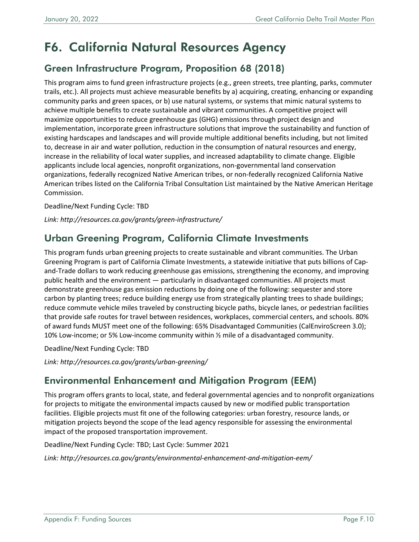# <span id="page-9-0"></span>F6. California Natural Resources Agency

### Green Infrastructure Program, Proposition 68 (2018)

This program aims to fund green infrastructure projects (e.g., green streets, tree planting, parks, commuter trails, etc.). All projects must achieve measurable benefits by a) acquiring, creating, enhancing or expanding community parks and green spaces, or b) use natural systems, or systems that mimic natural systems to achieve multiple benefits to create sustainable and vibrant communities. A competitive project will maximize opportunities to reduce greenhouse gas (GHG) emissions through project design and implementation, incorporate green infrastructure solutions that improve the sustainability and function of existing hardscapes and landscapes and will provide multiple additional benefits including, but not limited to, decrease in air and water pollution, reduction in the consumption of natural resources and energy, increase in the reliability of local water supplies, and increased adaptability to climate change. Eligible applicants include local agencies, nonprofit organizations, non-governmental land conservation organizations, federally recognized Native American tribes, or non-federally recognized California Native American tribes listed on the California Tribal Consultation List maintained by the Native American Heritage Commission.

Deadline/Next Funding Cycle: TBD

*Link:<http://resources.ca.gov/grants/green-infrastructure/>*

### Urban Greening Program, California Climate Investments

This program funds urban greening projects to create sustainable and vibrant communities. The Urban Greening Program is part of California Climate Investments, a statewide initiative that puts billions of Capand-Trade dollars to work reducing greenhouse gas emissions, strengthening the economy, and improving public health and the environment — particularly in disadvantaged communities. All projects must demonstrate greenhouse gas emission reductions by doing one of the following: sequester and store carbon by planting trees; reduce building energy use from strategically planting trees to shade buildings; reduce commute vehicle miles traveled by constructing bicycle paths, bicycle lanes, or pedestrian facilities that provide safe routes for travel between residences, workplaces, commercial centers, and schools. 80% of award funds MUST meet one of the following: 65% Disadvantaged Communities (CalEnviroScreen 3.0); 10% Low-income; or 5% Low-income community within ½ mile of a disadvantaged community.

Deadline/Next Funding Cycle: TBD

*Link: <http://resources.ca.gov/grants/urban-greening/>*

### Environmental Enhancement and Mitigation Program (EEM)

This program offers grants to local, state, and federal governmental agencies and to nonprofit organizations for projects to mitigate the environmental impacts caused by new or modified public transportation facilities. Eligible projects must fit one of the following categories: urban forestry, resource lands, or mitigation projects beyond the scope of the lead agency responsible for assessing the environmental impact of the proposed transportation improvement.

Deadline/Next Funding Cycle: TBD; Last Cycle: Summer 2021

*Link:<http://resources.ca.gov/grants/environmental-enhancement-and-mitigation-eem/>*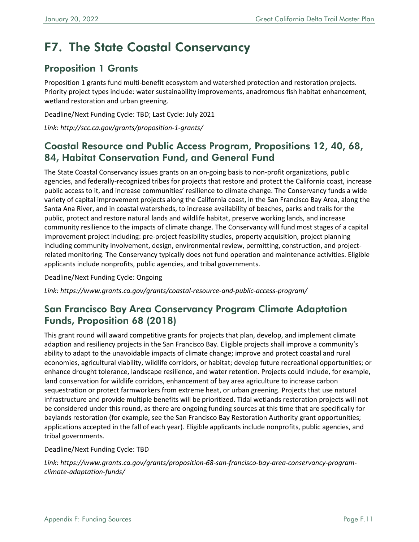# <span id="page-10-0"></span>F7. The State Coastal Conservancy

### Proposition 1 Grants

Proposition 1 grants fund multi-benefit ecosystem and watershed protection and restoration projects. Priority project types include: water sustainability improvements, anadromous fish habitat enhancement, wetland restoration and urban greening.

Deadline/Next Funding Cycle: TBD; Last Cycle: July 2021

*Link:<http://scc.ca.gov/grants/proposition-1-grants/>*

#### Coastal Resource and Public Access Program, Propositions 12, 40, 68, 84, Habitat Conservation Fund, and General Fund

The State Coastal Conservancy issues grants on an on-going basis to non-profit organizations, public agencies, and federally-recognized tribes for projects that restore and protect the California coast, increase public access to it, and increase communities' resilience to climate change. The Conservancy funds a wide variety of capital improvement projects along the California coast, in the San Francisco Bay Area, along the Santa Ana River, and in coastal watersheds, to increase availability of beaches, parks and trails for the public, protect and restore natural lands and wildlife habitat, preserve working lands, and increase community resilience to the impacts of climate change. The Conservancy will fund most stages of a capital improvement project including: pre-project feasibility studies, property acquisition, project planning including community involvement, design, environmental review, permitting, construction, and projectrelated monitoring. The Conservancy typically does not fund operation and maintenance activities. Eligible applicants include nonprofits, public agencies, and tribal governments.

Deadline/Next Funding Cycle: Ongoing

*Link:<https://www.grants.ca.gov/grants/coastal-resource-and-public-access-program/>*

#### San Francisco Bay Area Conservancy Program Climate Adaptation Funds, Proposition 68 (2018)

This grant round will award competitive grants for projects that plan, develop, and implement climate adaption and resiliency projects in the San Francisco Bay. Eligible projects shall improve a community's ability to adapt to the unavoidable impacts of climate change; improve and protect coastal and rural economies, agricultural viability, wildlife corridors, or habitat; develop future recreational opportunities; or enhance drought tolerance, landscape resilience, and water retention. Projects could include, for example, land conservation for wildlife corridors, enhancement of bay area agriculture to increase carbon sequestration or protect farmworkers from extreme heat, or urban greening. Projects that use natural infrastructure and provide multiple benefits will be prioritized. Tidal wetlands restoration projects will not be considered under this round, as there are ongoing funding sources at this time that are specifically for baylands restoration (for example, see the San Francisco Bay Restoration Authority grant opportunities; applications accepted in the fall of each year). Eligible applicants include nonprofits, public agencies, and tribal governments.

#### Deadline/Next Funding Cycle: TBD

*[Link: https://www.grants.ca.gov/grants/proposition-68-san-francisco-bay-area-conservancy-program](https://www.grants.ca.gov/grants/proposition-68-san-francisco-bay-area-conservancy-program-climate-adaptation-funds/)climate-adaptation-funds/*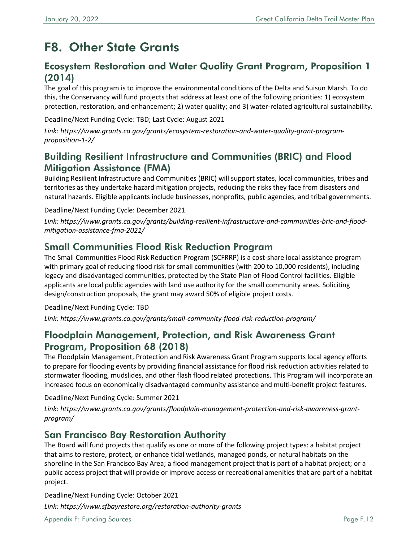# <span id="page-11-0"></span>F8. Other State Grants

#### Ecosystem Restoration and Water Quality Grant Program, Proposition 1 (2014)

The goal of this program is to improve the environmental conditions of the Delta and Suisun Marsh. To do this, the Conservancy will fund projects that address at least one of the following priorities: 1) ecosystem protection, restoration, and enhancement; 2) water quality; and 3) water-related agricultural sustainability.

Deadline/Next Funding Cycle: TBD; Last Cycle: August 2021

*[Link: https://www.grants.ca.gov/grants/ecosystem-restoration-and-water-quality-grant-program](https://www.grants.ca.gov/grants/ecosystem-restoration-and-water-quality-grant-program-proposition-1-2/)proposition-1-2/* 

#### Building Resilient Infrastructure and Communities (BRIC) and Flood Mitigation Assistance (FMA)

Building Resilient Infrastructure and Communities (BRIC) will support states, local communities, tribes and territories as they undertake hazard mitigation projects, reducing the risks they face from disasters and natural hazards. Eligible applicants include businesses, nonprofits, public agencies, and tribal governments.

Deadline/Next Funding Cycle: December 2021

*[Link: https://www.grants.ca.gov/grants/building-resilient-infrastructure-and-communities-bric-and-flood](https://www.grants.ca.gov/grants/building-resilient-infrastructure-and-communities-bric-and-flood-mitigation-assistance-fma-2021/)mitigation-assistance-fma-2021/* 

#### Small Communities Flood Risk Reduction Program

The Small Communities Flood Risk Reduction Program (SCFRRP) is a cost-share local assistance program with primary goal of reducing flood risk for small communities (with 200 to 10,000 residents), including legacy and disadvantaged communities, protected by the State Plan of Flood Control facilities. Eligible applicants are local public agencies with land use authority for the small community areas. Soliciting design/construction proposals, the grant may award 50% of eligible project costs.

Deadline/Next Funding Cycle: TBD

*Link:<https://www.grants.ca.gov/grants/small-community-flood-risk-reduction-program/>*

#### Floodplain Management, Protection, and Risk Awareness Grant Program, Proposition 68 (2018)

The Floodplain Management, Protection and Risk Awareness Grant Program supports local agency efforts to prepare for flooding events by providing financial assistance for flood risk reduction activities related to stormwater flooding, mudslides, and other flash flood related protections. This Program will incorporate an increased focus on economically disadvantaged community assistance and multi-benefit project features.

Deadline/Next Funding Cycle: Summer 2021

*[Link: https://www.grants.ca.gov/grants/floodplain-management-protection-and-risk-awareness-grant](https://www.grants.ca.gov/grants/floodplain-management-protection-and-risk-awareness-grant-program/)program/* 

#### San Francisco Bay Restoration Authority

The Board will fund projects that qualify as one or more of the following project types: a habitat project that aims to restore, protect, or enhance tidal wetlands, managed ponds, or natural habitats on the shoreline in the San Francisco Bay Area; a flood management project that is part of a habitat project; or a public access project that will provide or improve access or recreational amenities that are part of a habitat project.

Deadline/Next Funding Cycle: October 2021 *Link:<https://www.sfbayrestore.org/restoration-authority-grants>*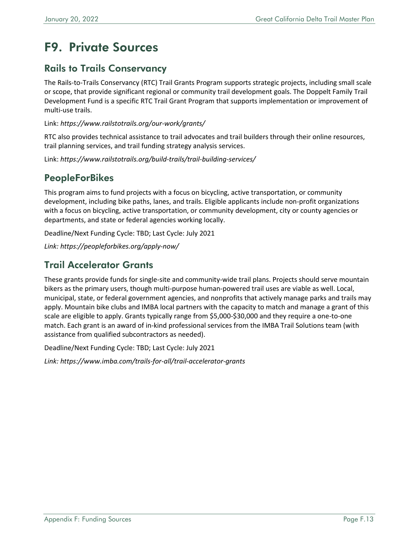# <span id="page-12-0"></span>F9. Private Sources

#### Rails to Trails Conservancy

The Rails-to-Trails Conservancy (RTC) Trail Grants Program supports strategic projects, including small scale or scope, that provide significant regional or community trail development goals. The Doppelt Family Trail Development Fund is a specific RTC Trail Grant Program that supports implementation or improvement of multi-use trails.

Link: *<https://www.railstotrails.org/our-work/grants/>*

RTC also provides technical assistance to trail advocates and trail builders through their online resources, trail planning services, and trail funding strategy analysis services.

Link: *<https://www.railstotrails.org/build-trails/trail-building-services/>*

### **PeopleForBikes**

This program aims to fund projects with a focus on bicycling, active transportation, or community development, including bike paths, lanes, and trails. Eligible applicants include non-profit organizations with a focus on bicycling, active transportation, or community development, city or county agencies or departments, and state or federal agencies working locally.

Deadline/Next Funding Cycle: TBD; Last Cycle: July 2021

*Link:<https://peopleforbikes.org/apply-now/>*

### Trail Accelerator Grants

These grants provide funds for single-site and community-wide trail plans. Projects should serve mountain bikers as the primary users, though multi-purpose human-powered trail uses are viable as well. Local, municipal, state, or federal government agencies, and nonprofits that actively manage parks and trails may apply. Mountain bike clubs and IMBA local partners with the capacity to match and manage a grant of this scale are eligible to apply. Grants typically range from \$5,000-\$30,000 and they require a one-to-one match. Each grant is an award of in-kind professional services from the IMBA Trail Solutions team (with assistance from qualified subcontractors as needed).

Deadline/Next Funding Cycle: TBD; Last Cycle: July 2021

*Link:<https://www.imba.com/trails-for-all/trail-accelerator-grants>*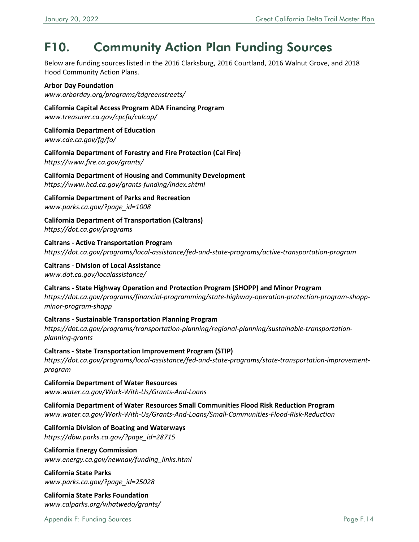# <span id="page-13-0"></span>F10. Community Action Plan Funding Sources

Below are funding sources listed in the 2016 Clarksburg, 2016 Courtland, 2016 Walnut Grove, and 2018 Hood Community Action Plans.

**Arbor Day Foundation**  *[www.arborday.org/programs/tdgreenstreets/](http://www.arborday.org/programs/tdgreenstreets/)*

**California Capital Access Program ADA Financing Program**

*[www.treasurer.ca.gov/cpcfa/calcap/](http://www.treasurer.ca.gov/cpcfa/calcap/)* 

**California Department of Education**  *[www.cde.ca.gov/fg/fo/](http://www.cde.ca.gov/fg/fo/)*

**California Department of Forestry and Fire Protection (Cal Fire)** *<https://www.fire.ca.gov/grants/>*

**California Department of Housing and Community Development** *<https://www.hcd.ca.gov/grants-funding/index.shtml>*

**California Department of Parks and Recreation** *[www.parks.ca.gov/?page\\_id=1008](http://www.parks.ca.gov/?page_id=1008)* 

**California Department of Transportation (Caltrans)** *<https://dot.ca.gov/programs>*

**Caltrans - Active Transportation Program** *<https://dot.ca.gov/programs/local-assistance/fed-and-state-programs/active-transportation-program>*

**Caltrans - Division of Local Assistance** *[www.dot.ca.gov/localassistance/](http://www.dot.ca.gov/localassistance/)* 

**Caltrans - State Highway Operation and Protection Program (SHOPP) and Minor Program** *[https://dot.ca.gov/programs/financial-programming/state-highway-operation-protection-program-shopp](https://dot.ca.gov/programs/financial-programming/state-highway-operation-protection-program-shopp-minor-program-shopp)minor-program-shopp*

**Caltrans - Sustainable Transportation Planning Program** *[https://dot.ca.gov/programs/transportation-planning/regional-planning/sustainable-transportation](https://dot.ca.gov/programs/transportation-planning/regional-planning/sustainable-transportation-planning-grants)planning-grants* 

**Caltrans - State Transportation Improvement Program (STIP)** *[https://dot.ca.gov/programs/local-assistance/fed-and-state-programs/state-transportation-improvement](https://dot.ca.gov/programs/local-assistance/fed-and-state-programs/state-transportation-improvement-program)program* 

**California Department of Water Resources** *[www.water.ca.gov/Work-With-Us/Grants-And-Loans](http://www.water.ca.gov/Work-With-Us/Grants-And-Loans)*

**California Department of Water Resources Small Communities Flood Risk Reduction Program** *[www.water.ca.gov/Work-With-Us/Grants-And-Loans/Small-Communities-Flood-Risk-Reduction](http://www.water.ca.gov/Work-With-Us/Grants-And-Loans/Small-Communities-Flood-Risk-Reduction)*

**California Division of Boating and Waterways**

*[https://dbw.parks.ca.gov/?page\\_id=28715](https://dbw.parks.ca.gov/?page_id=28715)* 

**California Energy Commission**  *[www.energy.ca.gov/newnav/funding\\_links.html](http://www.energy.ca.gov/newnav/funding_links.html)*

**California State Parks** *[www.parks.ca.gov/?page\\_id=25028](http://www.parks.ca.gov/?page_id=25028)*

**California State Parks Foundation** *[www.calparks.org/whatwedo/grants/](http://www.calparks.org/whatwedo/grants/)*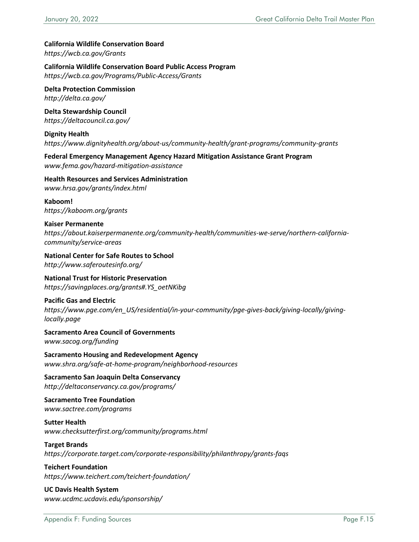#### **California Wildlife Conservation Board**

*<https://wcb.ca.gov/Grants>*

**California Wildlife Conservation Board Public Access Program**

*<https://wcb.ca.gov/Programs/Public-Access/Grants>*

**Delta Protection Commission** *<http://delta.ca.gov/>*

**Delta Stewardship Council** *<https://deltacouncil.ca.gov/>*

**Dignity Health** *<https://www.dignityhealth.org/about-us/community-health/grant-programs/community-grants>*

**Federal Emergency Management Agency Hazard Mitigation Assistance Grant Program** *[www.fema.gov/hazard-mitigation-assistance](http://www.fema.gov/hazard-mitigation-assistance)*

**Health Resources and Services Administration** *[www.hrsa.gov/grants/index.html](http://www.hrsa.gov/grants/index.html)* 

**Kaboom!** *<https://kaboom.org/grants>*

#### **Kaiser Permanente**  *[https://about.kaiserpermanente.org/community-health/communities-we-serve/northern-california](https://about.kaiserpermanente.org/community-health/communities-we-serve/northern-california-community/service-areas)community/service-areas*

**National Center for Safe Routes to School** *<http://www.saferoutesinfo.org/>*

#### **National Trust for Historic Preservation** *[https://savingplaces.org/grants#.YS\\_oetNKibg](https://savingplaces.org/grants#.YS_oetNKibg)*

#### **Pacific Gas and Electric**

*[https://www.pge.com/en\\_US/residential/in-your-community/pge-gives-back/giving-locally/giving](https://www.pge.com/en_US/residential/in-your-community/pge-gives-back/giving-locally/giving-locally.page)locally.page* 

**Sacramento Area Council of Governments** *[www.sacog.org/funding](http://www.sacog.org/funding)*

**Sacramento Housing and Redevelopment Agency** *[www.shra.org/safe-at-home-program/neighborhood-resources](http://www.shra.org/safe-at-home-program/neighborhood-resources)*

#### **Sacramento San Joaquin Delta Conservancy** *<http://deltaconservancy.ca.gov/programs/>*

**Sacramento Tree Foundation**  *[www.sactree.com/programs](http://www.sactree.com/programs)* 

**Sutter Health** *[www.checksutterfirst.org/community/programs.html](http://www.checksutterfirst.org/community/programs.html)*

#### **Target Brands**

*<https://corporate.target.com/corporate-responsibility/philanthropy/grants-faqs>*

#### **Teichert Foundation** *<https://www.teichert.com/teichert-foundation/>*

**UC Davis Health System** *[www.ucdmc.ucdavis.edu/sponsorship/](http://www.ucdmc.ucdavis.edu/sponsorship/)*